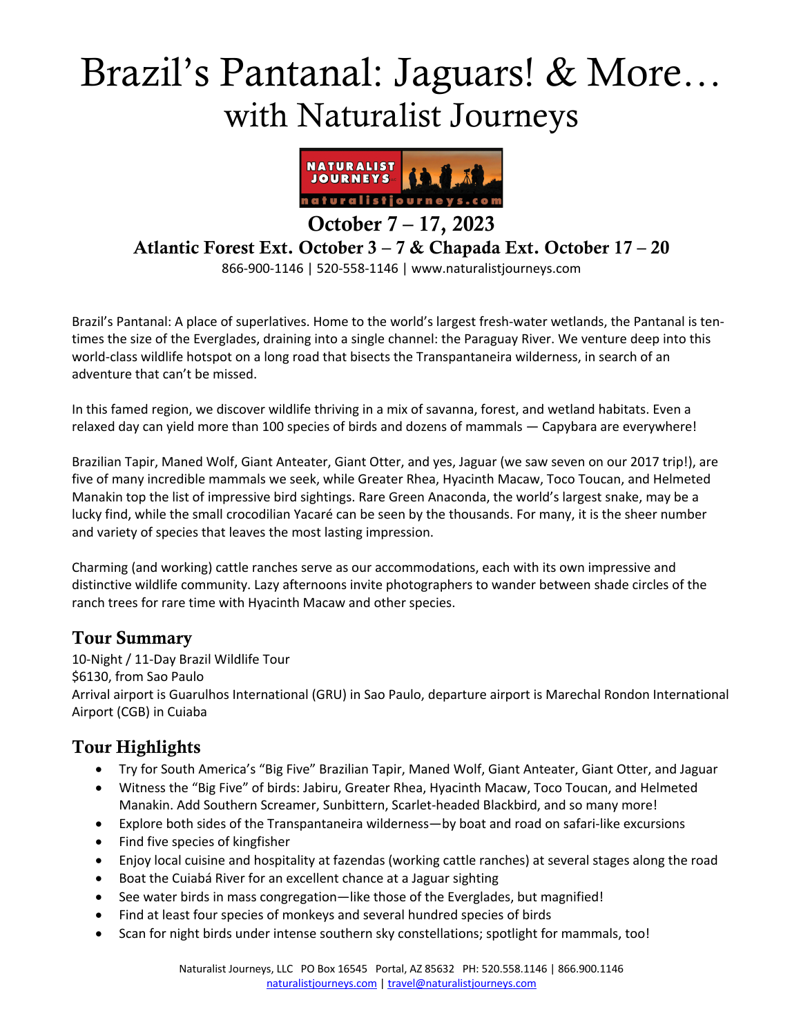# Brazil's Pantanal: Jaguars! & More… with Naturalist Journeys



October 7 – 17, 2023

Atlantic Forest Ext. October 3 – 7 & Chapada Ext. October 17 – 20

866-900-1146 | 520-558-1146 | www.naturalistjourneys.com

Brazil's Pantanal: A place of superlatives. Home to the world's largest fresh-water wetlands, the Pantanal is tentimes the size of the Everglades, draining into a single channel: the Paraguay River. We venture deep into this world-class wildlife hotspot on a long road that bisects the Transpantaneira wilderness, in search of an adventure that can't be missed.

In this famed region, we discover wildlife thriving in a mix of savanna, forest, and wetland habitats. Even a relaxed day can yield more than 100 species of birds and dozens of mammals — Capybara are everywhere!

Brazilian Tapir, Maned Wolf, Giant Anteater, Giant Otter, and yes, Jaguar (we saw seven on our 2017 trip!), are five of many incredible mammals we seek, while Greater Rhea, Hyacinth Macaw, Toco Toucan, and Helmeted Manakin top the list of impressive bird sightings. Rare Green Anaconda, the world's largest snake, may be a lucky find, while the small crocodilian Yacaré can be seen by the thousands. For many, it is the sheer number and variety of species that leaves the most lasting impression.

Charming (and working) cattle ranches serve as our accommodations, each with its own impressive and distinctive wildlife community. Lazy afternoons invite photographers to wander between shade circles of the ranch trees for rare time with Hyacinth Macaw and other species.

#### Tour Summary

10-Night / 11-Day Brazil Wildlife Tour \$6130, from Sao Paulo Arrival airport is Guarulhos International (GRU) in Sao Paulo, departure airport is Marechal Rondon International Airport (CGB) in Cuiaba

## Tour Highlights

- Try for South America's "Big Five" Brazilian Tapir, Maned Wolf, Giant Anteater, Giant Otter, and Jaguar
- Witness the "Big Five" of birds: Jabiru, Greater Rhea, Hyacinth Macaw, Toco Toucan, and Helmeted Manakin. Add Southern Screamer, Sunbittern, Scarlet-headed Blackbird, and so many more!
- Explore both sides of the Transpantaneira wilderness—by boat and road on safari-like excursions
- Find five species of kingfisher
- Enjoy local cuisine and hospitality at fazendas (working cattle ranches) at several stages along the road
- Boat the Cuiabá River for an excellent chance at a Jaguar sighting
- See water birds in mass congregation—like those of the Everglades, but magnified!
- Find at least four species of monkeys and several hundred species of birds
- Scan for night birds under intense southern sky constellations; spotlight for mammals, too!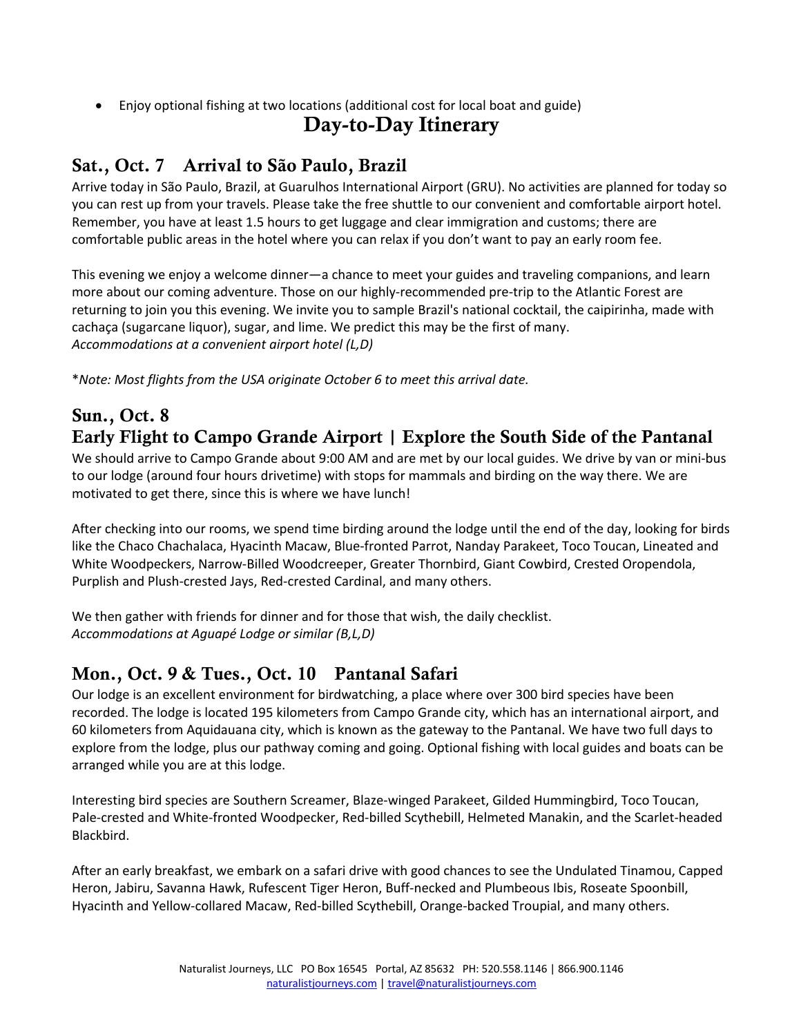• Enjoy optional fishing at two locations (additional cost for local boat and guide)

## Day-to-Day Itinerary

# Sat., Oct. 7 Arrival to São Paulo, Brazil

Arrive today in São Paulo, Brazil, at Guarulhos International Airport (GRU). No activities are planned for today so you can rest up from your travels. Please take the free shuttle to our convenient and comfortable airport hotel. Remember, you have at least 1.5 hours to get luggage and clear immigration and customs; there are comfortable public areas in the hotel where you can relax if you don't want to pay an early room fee.

This evening we enjoy a welcome dinner―a chance to meet your guides and traveling companions, and learn more about our coming adventure. Those on our highly-recommended pre-trip to the Atlantic Forest are returning to join you this evening. We invite you to sample Brazil's national cocktail, the caipirinha, made with cachaça (sugarcane liquor), sugar, and lime. We predict this may be the first of many. *Accommodations at a convenient airport hotel (L,D)* 

\**Note: Most flights from the USA originate October 6 to meet this arrival date.*

#### Sun., Oct. 8 Early Flight to Campo Grande Airport | Explore the South Side of the Pantanal

We should arrive to Campo Grande about 9:00 AM and are met by our local guides. We drive by van or mini-bus to our lodge (around four hours drivetime) with stops for mammals and birding on the way there. We are motivated to get there, since this is where we have lunch!

After checking into our rooms, we spend time birding around the lodge until the end of the day, looking for birds like the Chaco Chachalaca, Hyacinth Macaw, Blue-fronted Parrot, Nanday Parakeet, Toco Toucan, Lineated and White Woodpeckers, Narrow-Billed Woodcreeper, Greater Thornbird, Giant Cowbird, Crested Oropendola, Purplish and Plush-crested Jays, Red-crested Cardinal, and many others.

We then gather with friends for dinner and for those that wish, the daily checklist. *Accommodations at Aguapé Lodge or similar (B,L,D)*

## Mon., Oct. 9 & Tues., Oct. 10 Pantanal Safari

Our lodge is an excellent environment for birdwatching, a place where over 300 bird species have been recorded. The lodge is located 195 kilometers from Campo Grande city, which has an international airport, and 60 kilometers from Aquidauana city, which is known as the gateway to the Pantanal. We have two full days to explore from the lodge, plus our pathway coming and going. Optional fishing with local guides and boats can be arranged while you are at this lodge.

Interesting bird species are Southern Screamer, Blaze-winged Parakeet, Gilded Hummingbird, Toco Toucan, Pale-crested and White-fronted Woodpecker, Red-billed Scythebill, Helmeted Manakin, and the Scarlet-headed Blackbird.

After an early breakfast, we embark on a safari drive with good chances to see the Undulated Tinamou, Capped Heron, Jabiru, Savanna Hawk, Rufescent Tiger Heron, Buff-necked and Plumbeous Ibis, Roseate Spoonbill, Hyacinth and Yellow-collared Macaw, Red-billed Scythebill, Orange-backed Troupial, and many others.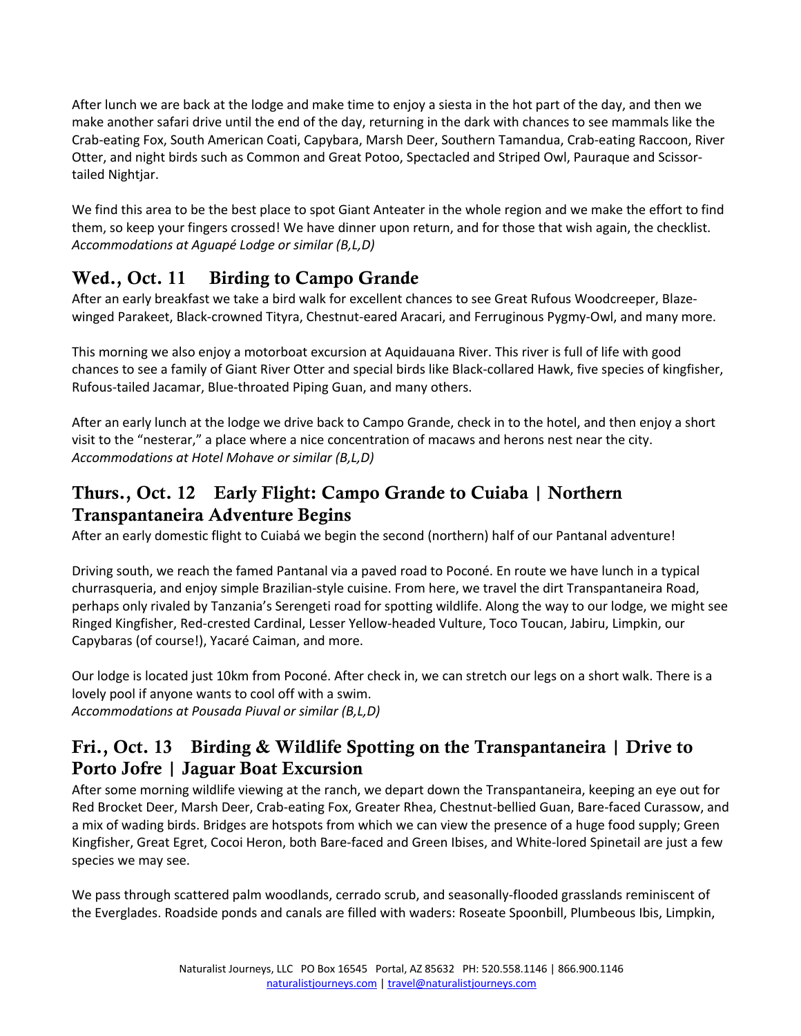After lunch we are back at the lodge and make time to enjoy a siesta in the hot part of the day, and then we make another safari drive until the end of the day, returning in the dark with chances to see mammals like the Crab-eating Fox, South American Coati, Capybara, Marsh Deer, Southern Tamandua, Crab-eating Raccoon, River Otter, and night birds such as Common and Great Potoo, Spectacled and Striped Owl, Pauraque and Scissortailed Nightjar.

We find this area to be the best place to spot Giant Anteater in the whole region and we make the effort to find them, so keep your fingers crossed! We have dinner upon return, and for those that wish again, the checklist. *Accommodations at Aguapé Lodge or similar (B,L,D)*

# Wed., Oct. 11 Birding to Campo Grande

After an early breakfast we take a bird walk for excellent chances to see Great Rufous Woodcreeper, Blazewinged Parakeet, Black-crowned Tityra, Chestnut-eared Aracari, and Ferruginous Pygmy-Owl, and many more.

This morning we also enjoy a motorboat excursion at Aquidauana River. This river is full of life with good chances to see a family of Giant River Otter and special birds like Black-collared Hawk, five species of kingfisher, Rufous-tailed Jacamar, Blue-throated Piping Guan, and many others.

After an early lunch at the lodge we drive back to Campo Grande, check in to the hotel, and then enjoy a short visit to the "nesterar," a place where a nice concentration of macaws and herons nest near the city. *Accommodations at Hotel Mohave or similar (B,L,D)* 

#### Thurs., Oct. 12 Early Flight: Campo Grande to Cuiaba | Northern Transpantaneira Adventure Begins

After an early domestic flight to Cuiabá we begin the second (northern) half of our Pantanal adventure!

Driving south, we reach the famed Pantanal via a paved road to Poconé. En route we have lunch in a typical churrasqueria, and enjoy simple Brazilian-style cuisine. From here, we travel the dirt Transpantaneira Road, perhaps only rivaled by Tanzania's Serengeti road for spotting wildlife. Along the way to our lodge, we might see Ringed Kingfisher, Red-crested Cardinal, Lesser Yellow-headed Vulture, Toco Toucan, Jabiru, Limpkin, our Capybaras (of course!), Yacaré Caiman, and more.

Our lodge is located just 10km from Poconé. After check in, we can stretch our legs on a short walk. There is a lovely pool if anyone wants to cool off with a swim. *Accommodations at Pousada Piuval or similar (B,L,D)* 

## Fri., Oct. 13 Birding & Wildlife Spotting on the Transpantaneira | Drive to Porto Jofre | Jaguar Boat Excursion

After some morning wildlife viewing at the ranch, we depart down the Transpantaneira, keeping an eye out for Red Brocket Deer, Marsh Deer, Crab-eating Fox, Greater Rhea, Chestnut-bellied Guan, Bare-faced Curassow, and a mix of wading birds. Bridges are hotspots from which we can view the presence of a huge food supply; Green Kingfisher, Great Egret, Cocoi Heron, both Bare-faced and Green Ibises, and White-lored Spinetail are just a few species we may see.

We pass through scattered palm woodlands, cerrado scrub, and seasonally-flooded grasslands reminiscent of the Everglades. Roadside ponds and canals are filled with waders: Roseate Spoonbill, Plumbeous Ibis, Limpkin,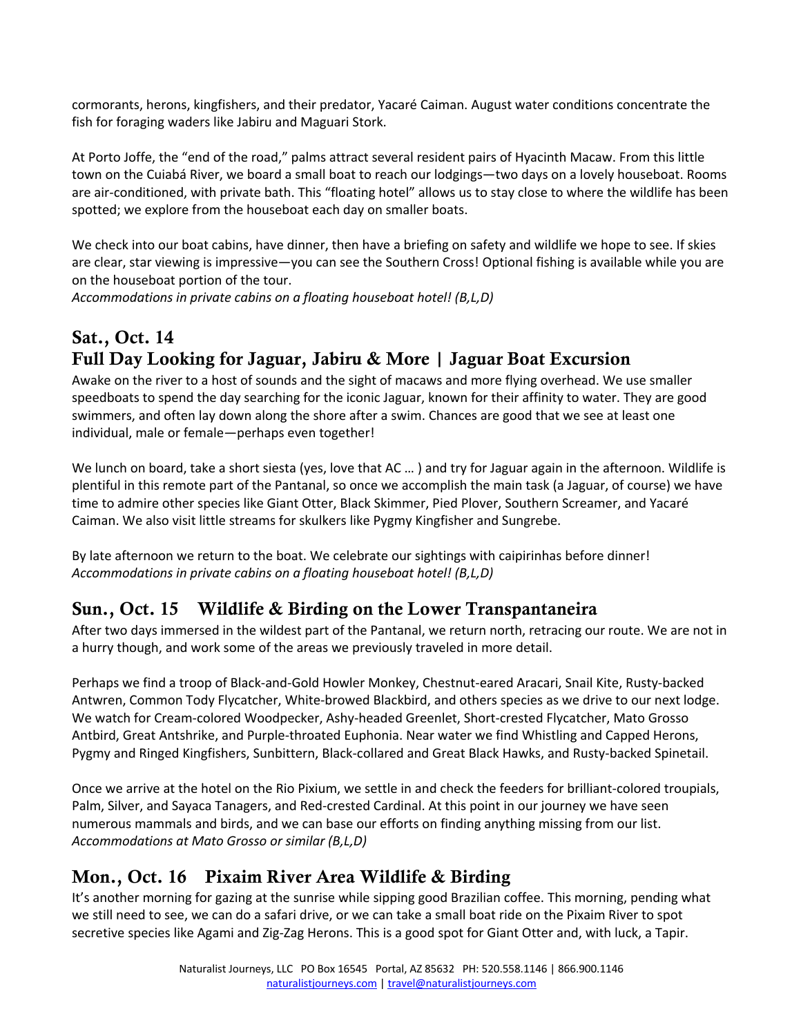cormorants, herons, kingfishers, and their predator, Yacaré Caiman. August water conditions concentrate the fish for foraging waders like Jabiru and Maguari Stork.

At Porto Joffe, the "end of the road," palms attract several resident pairs of Hyacinth Macaw. From this little town on the Cuiabá River, we board a small boat to reach our lodgings—two days on a lovely houseboat. Rooms are air-conditioned, with private bath. This "floating hotel" allows us to stay close to where the wildlife has been spotted; we explore from the houseboat each day on smaller boats.

We check into our boat cabins, have dinner, then have a briefing on safety and wildlife we hope to see. If skies are clear, star viewing is impressive―you can see the Southern Cross! Optional fishing is available while you are on the houseboat portion of the tour.

*Accommodations in private cabins on a floating houseboat hotel! (B,L,D)*

# Sat., Oct. 14 Full Day Looking for Jaguar, Jabiru & More | Jaguar Boat Excursion

Awake on the river to a host of sounds and the sight of macaws and more flying overhead. We use smaller speedboats to spend the day searching for the iconic Jaguar, known for their affinity to water. They are good swimmers, and often lay down along the shore after a swim. Chances are good that we see at least one individual, male or female―perhaps even together!

We lunch on board, take a short siesta (yes, love that AC ...) and try for Jaguar again in the afternoon. Wildlife is plentiful in this remote part of the Pantanal, so once we accomplish the main task (a Jaguar, of course) we have time to admire other species like Giant Otter, Black Skimmer, Pied Plover, Southern Screamer, and Yacaré Caiman. We also visit little streams for skulkers like Pygmy Kingfisher and Sungrebe.

By late afternoon we return to the boat. We celebrate our sightings with caipirinhas before dinner! *Accommodations in private cabins on a floating houseboat hotel! (B,L,D)* 

#### Sun., Oct. 15 Wildlife & Birding on the Lower Transpantaneira

After two days immersed in the wildest part of the Pantanal, we return north, retracing our route. We are not in a hurry though, and work some of the areas we previously traveled in more detail.

Perhaps we find a troop of Black-and-Gold Howler Monkey, Chestnut-eared Aracari, Snail Kite, Rusty-backed Antwren, Common Tody Flycatcher, White-browed Blackbird, and others species as we drive to our next lodge. We watch for Cream-colored Woodpecker, Ashy-headed Greenlet, Short-crested Flycatcher, Mato Grosso Antbird, Great Antshrike, and Purple-throated Euphonia. Near water we find Whistling and Capped Herons, Pygmy and Ringed Kingfishers, Sunbittern, Black-collared and Great Black Hawks, and Rusty-backed Spinetail.

Once we arrive at the hotel on the Rio Pixium, we settle in and check the feeders for brilliant-colored troupials, Palm, Silver, and Sayaca Tanagers, and Red-crested Cardinal. At this point in our journey we have seen numerous mammals and birds, and we can base our efforts on finding anything missing from our list. *Accommodations at Mato Grosso or similar (B,L,D)*

## Mon., Oct. 16 Pixaim River Area Wildlife & Birding

It's another morning for gazing at the sunrise while sipping good Brazilian coffee. This morning, pending what we still need to see, we can do a safari drive, or we can take a small boat ride on the Pixaim River to spot secretive species like Agami and Zig-Zag Herons. This is a good spot for Giant Otter and, with luck, a Tapir.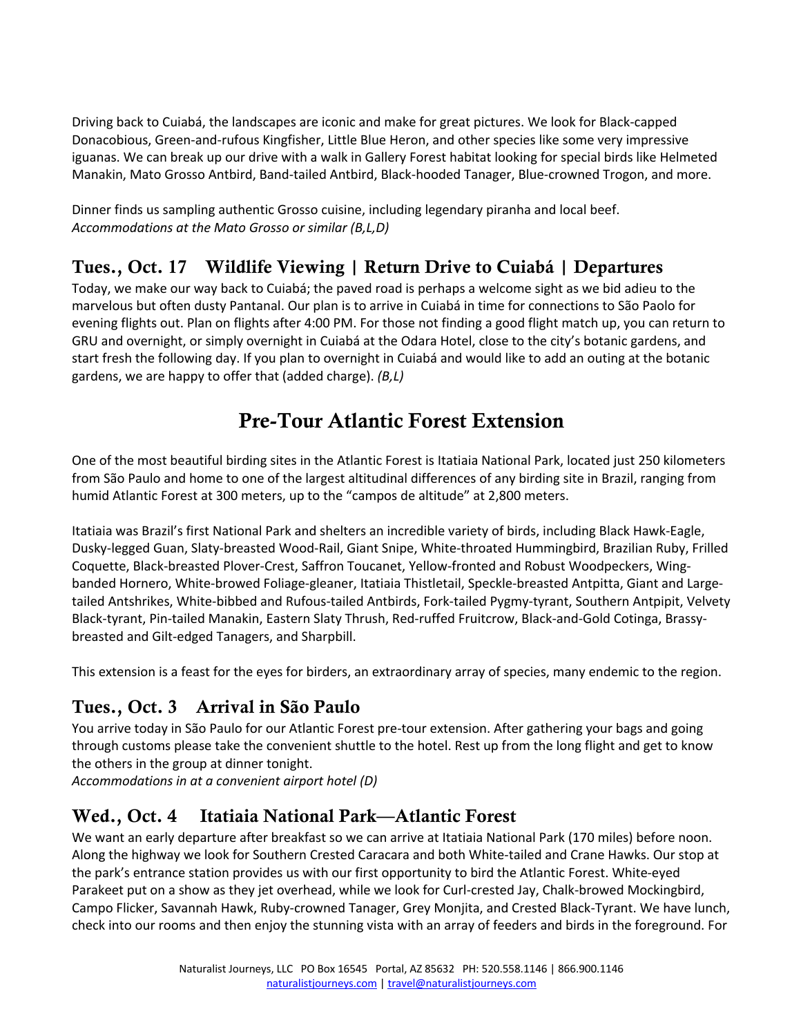Driving back to Cuiabá, the landscapes are iconic and make for great pictures. We look for Black-capped Donacobious, Green-and-rufous Kingfisher, Little Blue Heron, and other species like some very impressive iguanas. We can break up our drive with a walk in Gallery Forest habitat looking for special birds like Helmeted Manakin, Mato Grosso Antbird, Band-tailed Antbird, Black-hooded Tanager, Blue-crowned Trogon, and more.

Dinner finds us sampling authentic Grosso cuisine, including legendary piranha and local beef. *Accommodations at the Mato Grosso or similar (B,L,D)*

## Tues., Oct. 17 Wildlife Viewing | Return Drive to Cuiabá | Departures

Today, we make our way back to Cuiabá; the paved road is perhaps a welcome sight as we bid adieu to the marvelous but often dusty Pantanal. Our plan is to arrive in Cuiabá in time for connections to São Paolo for evening flights out. Plan on flights after 4:00 PM. For those not finding a good flight match up, you can return to GRU and overnight, or simply overnight in Cuiabá at the Odara Hotel, close to the city's botanic gardens, and start fresh the following day. If you plan to overnight in Cuiabá and would like to add an outing at the botanic gardens, we are happy to offer that (added charge). *(B,L)*

# Pre-Tour Atlantic Forest Extension

One of the most beautiful birding sites in the Atlantic Forest is Itatiaia National Park, located just 250 kilometers from São Paulo and home to one of the largest altitudinal differences of any birding site in Brazil, ranging from humid Atlantic Forest at 300 meters, up to the "campos de altitude" at 2,800 meters.

Itatiaia was Brazil's first National Park and shelters an incredible variety of birds, including Black Hawk-Eagle, Dusky-legged Guan, Slaty-breasted Wood-Rail, Giant Snipe, White-throated Hummingbird, Brazilian Ruby, Frilled Coquette, Black-breasted Plover-Crest, Saffron Toucanet, Yellow-fronted and Robust Woodpeckers, Wingbanded Hornero, White-browed Foliage-gleaner, Itatiaia Thistletail, Speckle-breasted Antpitta, Giant and Largetailed Antshrikes, White-bibbed and Rufous-tailed Antbirds, Fork-tailed Pygmy-tyrant, Southern Antpipit, Velvety Black-tyrant, Pin-tailed Manakin, Eastern Slaty Thrush, Red-ruffed Fruitcrow, Black-and-Gold Cotinga, Brassybreasted and Gilt-edged Tanagers, and Sharpbill.

This extension is a feast for the eyes for birders, an extraordinary array of species, many endemic to the region.

## Tues., Oct. 3 Arrival in São Paulo

You arrive today in São Paulo for our Atlantic Forest pre-tour extension. After gathering your bags and going through customs please take the convenient shuttle to the hotel. Rest up from the long flight and get to know the others in the group at dinner tonight.

*Accommodations in at a convenient airport hotel (D)*

## Wed., Oct. 4 Itatiaia National Park—Atlantic Forest

We want an early departure after breakfast so we can arrive at Itatiaia National Park (170 miles) before noon. Along the highway we look for Southern Crested Caracara and both White-tailed and Crane Hawks. Our stop at the park's entrance station provides us with our first opportunity to bird the Atlantic Forest. White-eyed Parakeet put on a show as they jet overhead, while we look for Curl-crested Jay, Chalk-browed Mockingbird, Campo Flicker, Savannah Hawk, Ruby-crowned Tanager, Grey Monjita, and Crested Black-Tyrant. We have lunch, check into our rooms and then enjoy the stunning vista with an array of feeders and birds in the foreground. For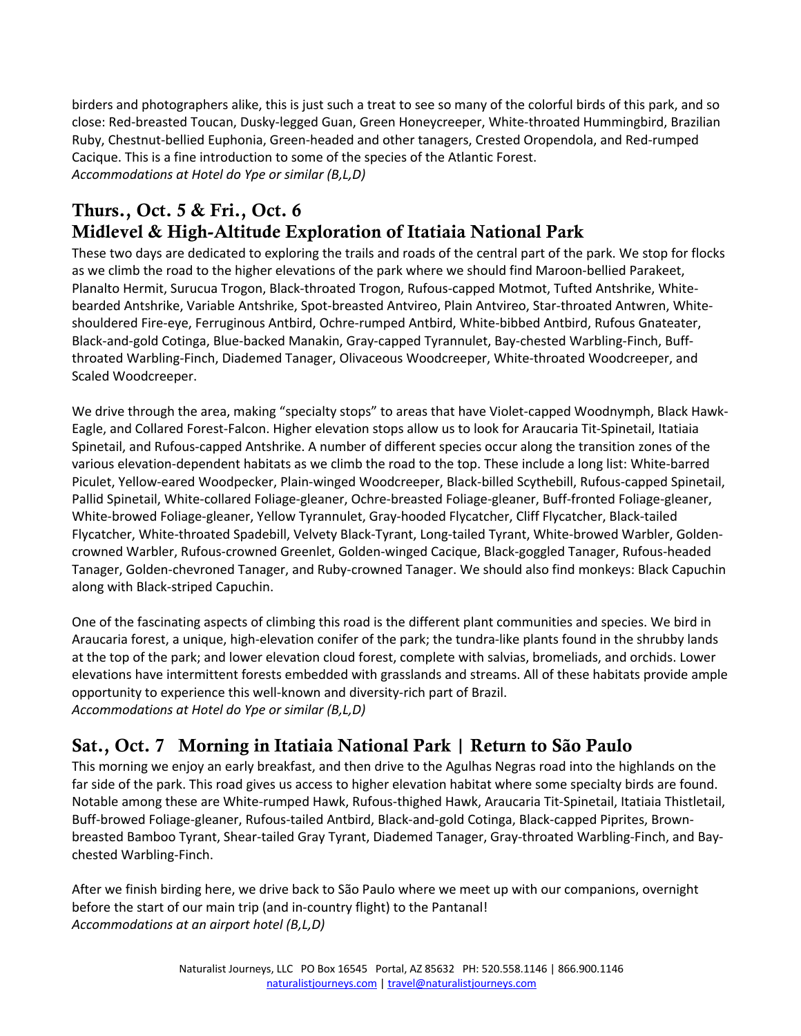birders and photographers alike, this is just such a treat to see so many of the colorful birds of this park, and so close: Red-breasted Toucan, Dusky-legged Guan, Green Honeycreeper, White-throated Hummingbird, Brazilian Ruby, Chestnut-bellied Euphonia, Green-headed and other tanagers, Crested Oropendola, and Red-rumped Cacique. This is a fine introduction to some of the species of the Atlantic Forest. *Accommodations at Hotel do Ype or similar (B,L,D)*

## Thurs., Oct. 5 & Fri., Oct. 6 Midlevel & High-Altitude Exploration of Itatiaia National Park

These two days are dedicated to exploring the trails and roads of the central part of the park. We stop for flocks as we climb the road to the higher elevations of the park where we should find Maroon-bellied Parakeet, Planalto Hermit, Surucua Trogon, Black-throated Trogon, Rufous-capped Motmot, Tufted Antshrike, Whitebearded Antshrike, Variable Antshrike, Spot-breasted Antvireo, Plain Antvireo, Star-throated Antwren, Whiteshouldered Fire-eye, Ferruginous Antbird, Ochre-rumped Antbird, White-bibbed Antbird, Rufous Gnateater, Black-and-gold Cotinga, Blue-backed Manakin, Gray-capped Tyrannulet, Bay-chested Warbling-Finch, Buffthroated Warbling-Finch, Diademed Tanager, Olivaceous Woodcreeper, White-throated Woodcreeper, and Scaled Woodcreeper.

We drive through the area, making "specialty stops" to areas that have Violet-capped Woodnymph, Black Hawk-Eagle, and Collared Forest-Falcon. Higher elevation stops allow us to look for Araucaria Tit-Spinetail, Itatiaia Spinetail, and Rufous-capped Antshrike. A number of different species occur along the transition zones of the various elevation-dependent habitats as we climb the road to the top. These include a long list: White-barred Piculet, Yellow-eared Woodpecker, Plain-winged Woodcreeper, Black-billed Scythebill, Rufous-capped Spinetail, Pallid Spinetail, White-collared Foliage-gleaner, Ochre-breasted Foliage-gleaner, Buff-fronted Foliage-gleaner, White-browed Foliage-gleaner, Yellow Tyrannulet, Gray-hooded Flycatcher, Cliff Flycatcher, Black-tailed Flycatcher, White-throated Spadebill, Velvety Black-Tyrant, Long-tailed Tyrant, White-browed Warbler, Goldencrowned Warbler, Rufous-crowned Greenlet, Golden-winged Cacique, Black-goggled Tanager, Rufous-headed Tanager, Golden-chevroned Tanager, and Ruby-crowned Tanager. We should also find monkeys: Black Capuchin along with Black-striped Capuchin.

One of the fascinating aspects of climbing this road is the different plant communities and species. We bird in Araucaria forest, a unique, high-elevation conifer of the park; the tundra-like plants found in the shrubby lands at the top of the park; and lower elevation cloud forest, complete with salvias, bromeliads, and orchids. Lower elevations have intermittent forests embedded with grasslands and streams. All of these habitats provide ample opportunity to experience this well-known and diversity-rich part of Brazil. *Accommodations at Hotel do Ype or similar (B,L,D)* 

## Sat., Oct. 7 Morning in Itatiaia National Park | Return to São Paulo

This morning we enjoy an early breakfast, and then drive to the Agulhas Negras road into the highlands on the far side of the park. This road gives us access to higher elevation habitat where some specialty birds are found. Notable among these are White-rumped Hawk, Rufous-thighed Hawk, Araucaria Tit-Spinetail, Itatiaia Thistletail, Buff-browed Foliage-gleaner, Rufous-tailed Antbird, Black-and-gold Cotinga, Black-capped Piprites, Brownbreasted Bamboo Tyrant, Shear-tailed Gray Tyrant, Diademed Tanager, Gray-throated Warbling-Finch, and Baychested Warbling-Finch.

After we finish birding here, we drive back to São Paulo where we meet up with our companions, overnight before the start of our main trip (and in-country flight) to the Pantanal! *Accommodations at an airport hotel (B,L,D)*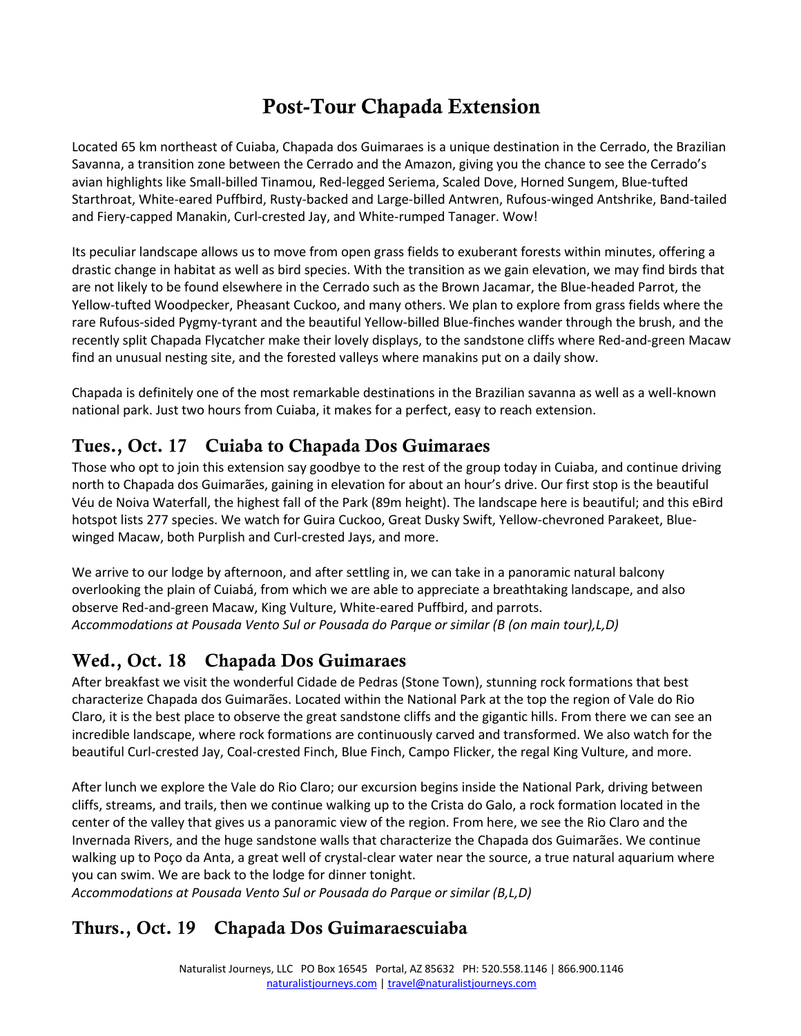# Post-Tour Chapada Extension

Located 65 km northeast of Cuiaba, Chapada dos Guimaraes is a unique destination in the Cerrado, the Brazilian Savanna, a transition zone between the Cerrado and the Amazon, giving you the chance to see the Cerrado's avian highlights like Small-billed Tinamou, Red-legged Seriema, Scaled Dove, Horned Sungem, Blue-tufted Starthroat, White-eared Puffbird, Rusty-backed and Large-billed Antwren, Rufous-winged Antshrike, Band-tailed and Fiery-capped Manakin, Curl-crested Jay, and White-rumped Tanager. Wow!

Its peculiar landscape allows us to move from open grass fields to exuberant forests within minutes, offering a drastic change in habitat as well as bird species. With the transition as we gain elevation, we may find birds that are not likely to be found elsewhere in the Cerrado such as the Brown Jacamar, the Blue-headed Parrot, the Yellow-tufted Woodpecker, Pheasant Cuckoo, and many others. We plan to explore from grass fields where the rare Rufous-sided Pygmy-tyrant and the beautiful Yellow-billed Blue-finches wander through the brush, and the recently split Chapada Flycatcher make their lovely displays, to the sandstone cliffs where Red-and-green Macaw find an unusual nesting site, and the forested valleys where manakins put on a daily show.

Chapada is definitely one of the most remarkable destinations in the Brazilian savanna as well as a well-known national park. Just two hours from Cuiaba, it makes for a perfect, easy to reach extension.

#### Tues., Oct. 17 Cuiaba to Chapada Dos Guimaraes

Those who opt to join this extension say goodbye to the rest of the group today in Cuiaba, and continue driving north to Chapada dos Guimarães, gaining in elevation for about an hour's drive. Our first stop is the beautiful Véu de Noiva Waterfall, the highest fall of the Park (89m height). The landscape here is beautiful; and this eBird hotspot lists 277 species. We watch for Guira Cuckoo, Great Dusky Swift, Yellow-chevroned Parakeet, Bluewinged Macaw, both Purplish and Curl-crested Jays, and more.

We arrive to our lodge by afternoon, and after settling in, we can take in a panoramic natural balcony overlooking the plain of Cuiabá, from which we are able to appreciate a breathtaking landscape, and also observe Red-and-green Macaw, King Vulture, White-eared Puffbird, and parrots. *Accommodations at Pousada Vento Sul or Pousada do Parque or similar (B (on main tour),L,D)*

## Wed., Oct. 18 Chapada Dos Guimaraes

After breakfast we visit the wonderful Cidade de Pedras (Stone Town), stunning rock formations that best characterize Chapada dos Guimarães. Located within the National Park at the top the region of Vale do Rio Claro, it is the best place to observe the great sandstone cliffs and the gigantic hills. From there we can see an incredible landscape, where rock formations are continuously carved and transformed. We also watch for the beautiful Curl-crested Jay, Coal-crested Finch, Blue Finch, Campo Flicker, the regal King Vulture, and more.

After lunch we explore the Vale do Rio Claro; our excursion begins inside the National Park, driving between cliffs, streams, and trails, then we continue walking up to the Crista do Galo, a rock formation located in the center of the valley that gives us a panoramic view of the region. From here, we see the Rio Claro and the Invernada Rivers, and the huge sandstone walls that characterize the Chapada dos Guimarães. We continue walking up to Poço da Anta, a great well of crystal-clear water near the source, a true natural aquarium where you can swim. We are back to the lodge for dinner tonight.

*Accommodations at Pousada Vento Sul or Pousada do Parque or similar (B,L,D)*

## Thurs., Oct. 19 Chapada Dos Guimaraescuiaba